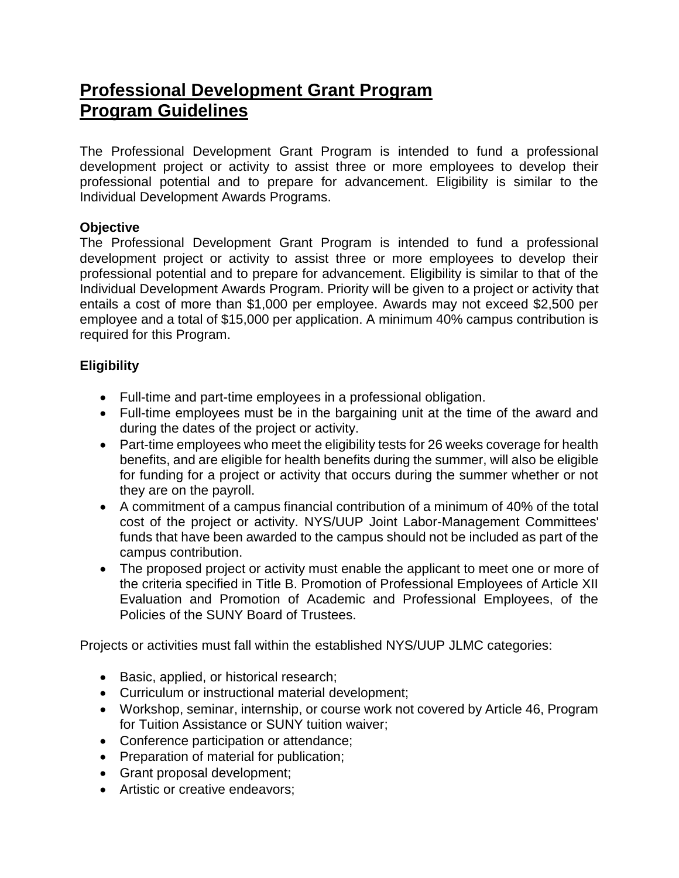# **[Professional Development Grant Program](https://www.nysuup.lmc.ny.gov/development/professional.html) Program Guidelines**

The Professional Development Grant Program is intended to fund a professional development project or activity to assist three or more employees to develop their professional potential and to prepare for advancement. Eligibility is similar to the Individual Development Awards Programs.

# **Objective**

The Professional Development Grant Program is intended to fund a professional development project or activity to assist three or more employees to develop their professional potential and to prepare for advancement. Eligibility is similar to that of the Individual Development Awards Program. Priority will be given to a project or activity that entails a cost of more than \$1,000 per employee. Awards may not exceed \$2,500 per employee and a total of \$15,000 per application. A minimum 40% campus contribution is required for this Program.

# **Eligibility**

- Full-time and part-time employees in a professional obligation.
- Full-time employees must be in the bargaining unit at the time of the award and during the dates of the project or activity.
- Part-time employees who meet the eligibility tests for 26 weeks coverage for health benefits, and are eligible for health benefits during the summer, will also be eligible for funding for a project or activity that occurs during the summer whether or not they are on the payroll.
- A commitment of a campus financial contribution of a minimum of 40% of the total cost of the project or activity. NYS/UUP Joint Labor-Management Committees' funds that have been awarded to the campus should not be included as part of the campus contribution.
- The proposed project or activity must enable the applicant to meet one or more of the criteria specified in Title B. Promotion of Professional Employees of Article XII Evaluation and Promotion of Academic and Professional Employees, of the Policies of the SUNY Board of Trustees.

Projects or activities must fall within the established NYS/UUP JLMC categories:

- Basic, applied, or historical research;
- Curriculum or instructional material development;
- Workshop, seminar, internship, or course work not covered by Article 46, Program for Tuition Assistance or SUNY tuition waiver;
- Conference participation or attendance;
- Preparation of material for publication;
- Grant proposal development;
- Artistic or creative endeavors: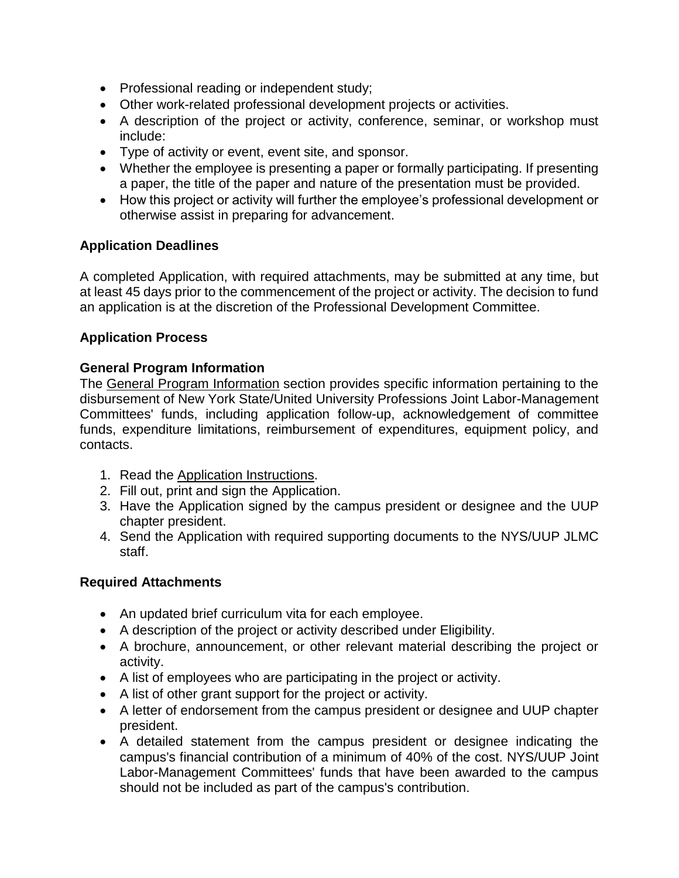- Professional reading or independent study;
- Other work-related professional development projects or activities.
- A description of the project or activity, conference, seminar, or workshop must include:
- Type of activity or event, event site, and sponsor.
- Whether the employee is presenting a paper or formally participating. If presenting a paper, the title of the paper and nature of the presentation must be provided.
- How this project or activity will further the employee's professional development or otherwise assist in preparing for advancement.

## **Application Deadlines**

A completed Application, with required attachments, may be submitted at any time, but at least 45 days prior to the commencement of the project or activity. The decision to fund an application is at the discretion of the Professional Development Committee.

## **Application Process**

### **General Program Information**

The [General Program Information](https://oer.ny.gov/general-program-information) section provides specific information pertaining to the disbursement of New York State/United University Professions Joint Labor-Management Committees' funds, including application follow-up, acknowledgement of committee funds, expenditure limitations, reimbursement of expenditures, equipment policy, and contacts.

- 1. Read the [Application Instructions.](https://oer.ny.gov/instructions-completing-fillable-pdf-application)
- 2. Fill out, print and sign the [Application.](https://www.nysuup.lmc.ny.gov/forms/Professional-Development-Grant-FILLABLE-APPLICATION.pdf)
- 3. Have the Application signed by the campus president or designee and the UUP chapter president.
- 4. Send the Application with required supporting documents to the [NYS/UUP JLMC](https://www.nysuup.lmc.ny.gov/contact.html)  [staff.](https://www.nysuup.lmc.ny.gov/contact.html)

### **Required Attachments**

- An updated brief curriculum vita for each employee.
- A description of the project or activity described under Eligibility.
- A brochure, announcement, or other relevant material describing the project or activity.
- A list of employees who are participating in the project or activity.
- A list of other grant support for the project or activity.
- A letter of endorsement from the campus president or designee and UUP chapter president.
- A detailed statement from the campus president or designee indicating the campus's financial contribution of a minimum of 40% of the cost. NYS/UUP Joint Labor-Management Committees' funds that have been awarded to the campus should not be included as part of the campus's contribution.